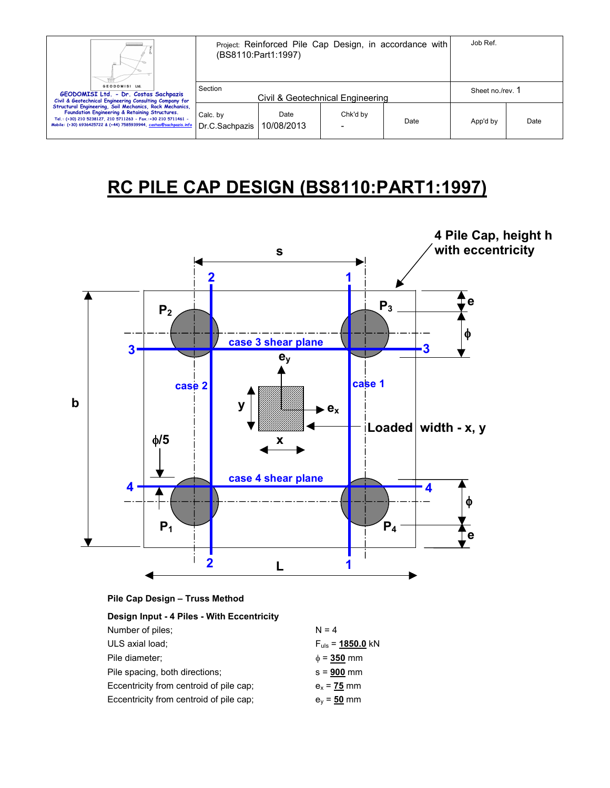| Ш                                                                                                                                                                                                                                                | Project: Reinforced Pile Cap Design, in accordance with<br>(BS8110:Part1:1997) |                    |          | Job Ref.         |          |      |
|--------------------------------------------------------------------------------------------------------------------------------------------------------------------------------------------------------------------------------------------------|--------------------------------------------------------------------------------|--------------------|----------|------------------|----------|------|
| <b>GEODOMISI Ltd.</b><br>GEODOMISI Ltd. - Dr. Costas Sachpazis<br>Civil & Geotechnical Engineering Consulting Company for                                                                                                                        | Section<br>Civil & Geotechnical Engineering                                    |                    |          | Sheet no./rev. 1 |          |      |
| Structural Engineering, Soil Mechanics, Rock Mechanics,<br>Foundation Engineering & Retaining Structures.<br>Tel.: (+30) 210 5238127, 210 5711263 - Fax.:+30 210 5711461 -<br>Mobile: (+30) 6936425722 & (+44) 7585939944, costas@sachpazis.info | Calc. by<br>Dr.C.Sachpazis                                                     | Date<br>10/08/2013 | Chk'd by | Date             | App'd by | Date |

# **RC PILE CAP DESIGN (BS8110:PART1:1997)**



| Pile Cap Design - Truss Method |  |
|--------------------------------|--|
|--------------------------------|--|

| Design Input - 4 Piles - With Eccentricity |                              |
|--------------------------------------------|------------------------------|
| Number of piles:                           | $N = 4$                      |
| ULS axial load;                            | $F_{\text{uls}}$ = 1850.0 kN |
| Pile diameter;                             | $\phi = 350$ mm              |
| Pile spacing, both directions;             | $s = 900$ mm                 |
| Eccentricity from centroid of pile cap;    | $e_x = 75$ mm                |
| Eccentricity from centroid of pile cap;    | $e_v = 50$ mm                |
|                                            |                              |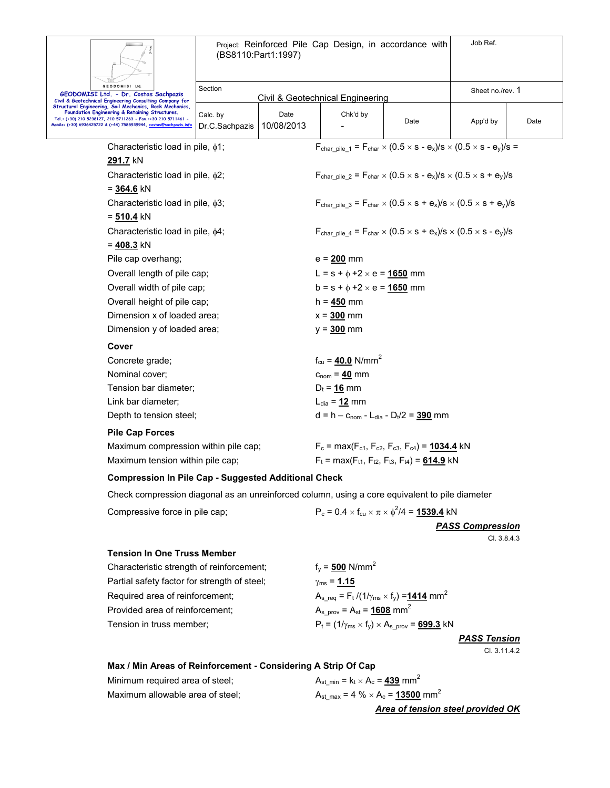| ě,                       |  |
|--------------------------|--|
|                          |  |
|                          |  |
| <b>GEODOMISI</b><br>Ltd. |  |

Project: Reinforced Pile Cap Design, in accordance with (BS8110:Part1:1997) Job Ref.

| GEODOMISI Ltd.<br>GEODOMISI Ltd. - Dr. Costas Sachpazis<br>Civil & Geotechnical Engineering Consulting Company for<br>Structural Engineering, Soil Mechanics, Rock Mechanics, |                                                                                                                                                                                              | Section<br>Civil & Geotechnical Engineering                          |                                                                                                                                               |                                                                                                         | Sheet no./rev. 1 |          |      |  |
|-------------------------------------------------------------------------------------------------------------------------------------------------------------------------------|----------------------------------------------------------------------------------------------------------------------------------------------------------------------------------------------|----------------------------------------------------------------------|-----------------------------------------------------------------------------------------------------------------------------------------------|---------------------------------------------------------------------------------------------------------|------------------|----------|------|--|
|                                                                                                                                                                               |                                                                                                                                                                                              |                                                                      |                                                                                                                                               |                                                                                                         |                  |          |      |  |
|                                                                                                                                                                               | Foundation Engineering & Retaining Structures.<br>Tel.: (+30) 210 5238127, 210 5711263 - Fax.:+30 210 5711461 -<br>Mobile: (+30) 6936425722 & (+44) 7585939944, <u>costas@sachpazis.info</u> | Calc. by<br>Dr.C.Sachpazis                                           | Date<br>10/08/2013                                                                                                                            | Chk'd by                                                                                                | Date             | App'd by | Date |  |
| Characteristic load in pile, $\phi$ 1;                                                                                                                                        |                                                                                                                                                                                              |                                                                      | F <sub>char pile</sub> $_1$ = F <sub>char</sub> $\times$ (0.5 $\times$ s - e <sub>x</sub> )/s $\times$ (0.5 $\times$ s - e <sub>y</sub> )/s = |                                                                                                         |                  |          |      |  |
| 291.7 kN                                                                                                                                                                      |                                                                                                                                                                                              |                                                                      |                                                                                                                                               |                                                                                                         |                  |          |      |  |
|                                                                                                                                                                               | Characteristic load in pile, $\phi$ 2;                                                                                                                                                       |                                                                      |                                                                                                                                               | $F_{\text{char of}} = F_{\text{char}} \times (0.5 \times s - e_x)/s \times (0.5 \times s + e_y)/s$      |                  |          |      |  |
|                                                                                                                                                                               | $= 364.6$ kN                                                                                                                                                                                 |                                                                      |                                                                                                                                               |                                                                                                         |                  |          |      |  |
|                                                                                                                                                                               | Characteristic load in pile, $\phi$ 3;                                                                                                                                                       |                                                                      |                                                                                                                                               | $F_{char\,olimits}$ pile 3 = $F_{char} \times (0.5 \times s + e_x)/s \times (0.5 \times s + e_y)/s$     |                  |          |      |  |
|                                                                                                                                                                               | $= 510.4$ kN                                                                                                                                                                                 |                                                                      |                                                                                                                                               |                                                                                                         |                  |          |      |  |
|                                                                                                                                                                               | Characteristic load in pile, $\phi$ 4;                                                                                                                                                       |                                                                      |                                                                                                                                               | $F_{\text{char, pile 4}} = F_{\text{char}} \times (0.5 \times s + e_x)/s \times (0.5 \times s - e_y)/s$ |                  |          |      |  |
|                                                                                                                                                                               | $= 408.3$ kN                                                                                                                                                                                 |                                                                      |                                                                                                                                               |                                                                                                         |                  |          |      |  |
|                                                                                                                                                                               | Pile cap overhang;                                                                                                                                                                           |                                                                      |                                                                                                                                               | $e = 200$ mm                                                                                            |                  |          |      |  |
| Overall length of pile cap;                                                                                                                                                   |                                                                                                                                                                                              | L = $s + \phi + 2 \times e = 1650$ mm                                |                                                                                                                                               |                                                                                                         |                  |          |      |  |
| Overall width of pile cap;                                                                                                                                                    |                                                                                                                                                                                              | $b = s + \phi + 2 \times e = 1650$ mm                                |                                                                                                                                               |                                                                                                         |                  |          |      |  |
| Overall height of pile cap;                                                                                                                                                   |                                                                                                                                                                                              | $h = 450$ mm                                                         |                                                                                                                                               |                                                                                                         |                  |          |      |  |
| Dimension x of loaded area;                                                                                                                                                   |                                                                                                                                                                                              | $x = 300$ mm                                                         |                                                                                                                                               |                                                                                                         |                  |          |      |  |
|                                                                                                                                                                               | Dimension y of loaded area;                                                                                                                                                                  |                                                                      |                                                                                                                                               | $y = 300$ mm                                                                                            |                  |          |      |  |
|                                                                                                                                                                               | Cover                                                                                                                                                                                        |                                                                      |                                                                                                                                               |                                                                                                         |                  |          |      |  |
|                                                                                                                                                                               | Concrete grade;                                                                                                                                                                              |                                                                      |                                                                                                                                               | $f_{cu} = 40.0$ N/mm <sup>2</sup>                                                                       |                  |          |      |  |
|                                                                                                                                                                               | Nominal cover;                                                                                                                                                                               |                                                                      |                                                                                                                                               | $c_{nom} = 40$ mm                                                                                       |                  |          |      |  |
|                                                                                                                                                                               | Tension bar diameter;                                                                                                                                                                        |                                                                      |                                                                                                                                               | $D_t = 16$ mm                                                                                           |                  |          |      |  |
|                                                                                                                                                                               | Link bar diameter:                                                                                                                                                                           |                                                                      |                                                                                                                                               | $L_{dia} = 12$ mm                                                                                       |                  |          |      |  |
|                                                                                                                                                                               | Depth to tension steel;                                                                                                                                                                      |                                                                      |                                                                                                                                               | $d = h - c_{nom} - L_{dia} - D_t/2 = 390$ mm                                                            |                  |          |      |  |
|                                                                                                                                                                               | <b>Pile Cap Forces</b>                                                                                                                                                                       |                                                                      |                                                                                                                                               |                                                                                                         |                  |          |      |  |
| Maximum compression within pile cap;                                                                                                                                          |                                                                                                                                                                                              | $F_c$ = max( $F_{c1}$ , $F_{c2}$ , $F_{c3}$ , $F_{c4}$ ) = 1034.4 kN |                                                                                                                                               |                                                                                                         |                  |          |      |  |
| Maximum tension within pile cap;                                                                                                                                              |                                                                                                                                                                                              | $F_t = max(F_{t1}, F_{t2}, F_{t3}, F_{t4}) = 614.9$ kN               |                                                                                                                                               |                                                                                                         |                  |          |      |  |
| <b>Compression In Pile Cap - Suggested Additional Check</b>                                                                                                                   |                                                                                                                                                                                              |                                                                      |                                                                                                                                               |                                                                                                         |                  |          |      |  |
|                                                                                                                                                                               | Check compression diagonal as an unreinforced column, using a core equivalent to pile diameter                                                                                               |                                                                      |                                                                                                                                               |                                                                                                         |                  |          |      |  |
|                                                                                                                                                                               | Compressive force in pile cap;                                                                                                                                                               |                                                                      |                                                                                                                                               | $P_c = 0.4 \times f_{cu} \times \pi \times \phi^2/4 = 1539.4$ kN                                        |                  |          |      |  |
|                                                                                                                                                                               |                                                                                                                                                                                              |                                                                      |                                                                                                                                               |                                                                                                         |                  |          |      |  |

*PASS Compression* Cl. 3.8.4.3

# **Tension In One Truss Member**

Characteristic strength of reinforcement;  $f_y = 500 \text{ N/mm}^2$ Partial safety factor for strength of steel;  $γ_{ms} = 1.15$ Required area of reinforcement;  $A_{s_{\text{req}}} = F_t / (1/\gamma_{\text{ms}} \times f_y) = 1414 \text{ mm}^2$ Provided area of reinforcement; Tension in truss member;  $P_t = (1/\gamma_{ms} \times f_y) \times A_{s\_prov} = \frac{699.3}{s}$  kN

 $A_{s\_prov} = A_{st} = \frac{1608}{160} \text{ mm}^2$ 

*PASS Tension* Cl. 3.11.4.2

## **Max / Min Areas of Reinforcement - Considering A Strip Of Cap**

Minimum required area of steel; Maximum allowable area of steel;

$$
A_{st\_min} = k_t \times A_c = 439 \text{ mm}^2
$$
  
\n
$$
A_{st\_max} = 4\% \times A_c = 13500 \text{ mm}^2
$$
  
\nArea of tension steel provided OK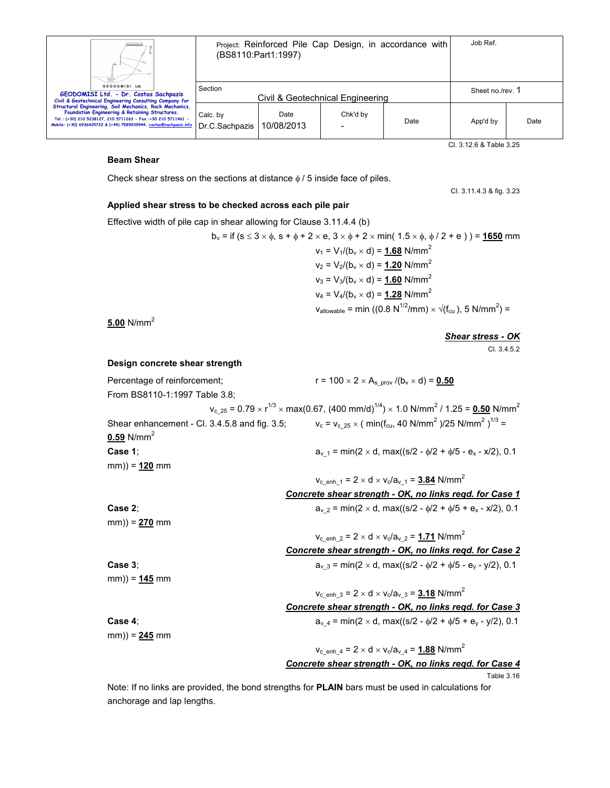|                                                                                                                                                                                                                                                  | Project: Reinforced Pile Cap Design, in accordance with<br>(BS8110:Part1:1997) |                    |                                  | Job Ref. |                  |      |
|--------------------------------------------------------------------------------------------------------------------------------------------------------------------------------------------------------------------------------------------------|--------------------------------------------------------------------------------|--------------------|----------------------------------|----------|------------------|------|
| <b>GEODOMISI Ltd.</b><br>GEODOMISI Ltd. - Dr. Costas Sachpazis<br>Civil & Geotechnical Engineering Consulting Company for                                                                                                                        | Section                                                                        |                    | Civil & Geotechnical Engineering |          | Sheet no./rev. 1 |      |
| Structural Engineering, Soil Mechanics, Rock Mechanics,<br>Foundation Engineering & Retaining Structures.<br>Tel.: (+30) 210 5238127, 210 5711263 - Fax.:+30 210 5711461 -<br>Mobile: (+30) 6936425722 & (+44) 7585939944, costas@sachpazis.info | Calc. by<br>Dr.C.Sachpazis                                                     | Date<br>10/08/2013 | Chk'd by                         | Date     | App'd by         | Date |

Cl. 3.12.6 & Table 3.25

#### **Beam Shear**

Check shear stress on the sections at distance  $\phi$  / 5 inside face of piles.

Cl. 3.11.4.3 & fig. 3.23

#### **Applied shear stress to be checked across each pile pair**

Effective width of pile cap in shear allowing for Clause 3.11.4.4 (b)

$$
b_v = \text{if } (s \le 3 \times \phi, s + \phi + 2 \times e, 3 \times \phi + 2 \times \text{min}(\ 1.5 \times \phi, \ \phi / 2 + e)) = 1650 \text{ mm}
$$
\n
$$
v_1 = V_1 / (b_v \times d) = 1.68 \text{ N/mm}^2
$$
\n
$$
v_2 = V_2 / (b_v \times d) = 1.20 \text{ N/mm}^2
$$
\n
$$
v_3 = V_3 / (b_v \times d) = 1.60 \text{ N/mm}^2
$$
\n
$$
v_4 = V_4 / (b_v \times d) = 1.28 \text{ N/mm}^2
$$
\n
$$
v_{\text{allowable}} = \text{min } ((0.8 \text{ N}^{1/2} / \text{mm}) \times \sqrt{(f_{\text{cu}})}, 5 \text{ N/mm}^2) = 1.28 \text{ N/mm}^2
$$

**5.00** N/mm<sup>2</sup>

*Shear stress - OK*

Cl. 3.4.5.2

### **Design concrete shear strength**

Percentage of reinforcement;  $r = 100 \times 2 \times A_{s\_prov} / (b_v \times d) = 0.50$ From BS8110-1:1997 Table 3.8;  $\mathsf{v_{c\_25}}$  = 0.79  $\times$  r<sup>1/3</sup>  $\times$  max(0.67, (400 mm/d)<sup>1/4</sup>)  $\times$  1.0 N/mm<sup>2</sup> / 1.25 = <u>0.50</u> N/mm<sup>2</sup> Shear enhancement - Cl.  $3.4.5.8$  and fig.  $3.5$ ;  $)/25$  N/mm<sup>2</sup>  $)^{1/3}$  = **0.59** N/mm<sup>2</sup> **Case 1**; **c** av 1 = min(2 × d, max((s/2 -  $\phi$ /2 +  $\phi$ /5 - e<sub>x</sub> - x/2), 0.1 mm)) = **120** mm  $v_{c\_enh\_1} = 2 \times d \times v_c/a_{v\_1} = 3.84$  N/mm<sup>2</sup>

*Concrete shear strength - OK, no links reqd. for Case 1*  **Case 2**; **c** ave 2. **c** ave 2. **c** and  $\alpha$  is  $\alpha$  = min(2 × d, max((s/2 -  $\phi/2$  +  $\phi/5$  + e<sub>x</sub> - x/2), 0.1

mm)) = **270** mm

**Case 3**; **c** av  $a_y = \min(2 \times d, \max((s/2 - \phi/2 + \phi/5 - e_y - y/2)), 0.1)$ 

mm)) = **145** mm

 $v_{\rm c}$  <sub>enh</sub>  $_3 = 2 \times d \times v_{\rm c}/a_{\rm v}$   $_3 = 3.18$  N/mm<sup>2</sup>

 $v_{c\_enh\_2} = 2 \times d \times v_c/a_{v\_2} = 1.71$  N/mm<sup>2</sup> *Concrete shear strength - OK, no links reqd. for Case 2*

 *Concrete shear strength - OK, no links reqd. for Case 3*

**Case 4**; **c** average  $a_1$  average  $a_2$  average  $a_3$  = min(2 × d, max((s/2 -  $\phi/2 + \phi/5 + e_y$  - y/2), 0.1

mm)) = **245** mm

 $v_{\rm c}$  <sub>enh</sub>  $_4 = 2 \times d \times v_{\rm c}/a_{\rm v}$   $_4 = 1.88$  N/mm<sup>2</sup> *Concrete shear strength - OK, no links reqd. for Case 4*

Table 3.16

Note: If no links are provided, the bond strengths for **PLAIN** bars must be used in calculations for anchorage and lap lengths.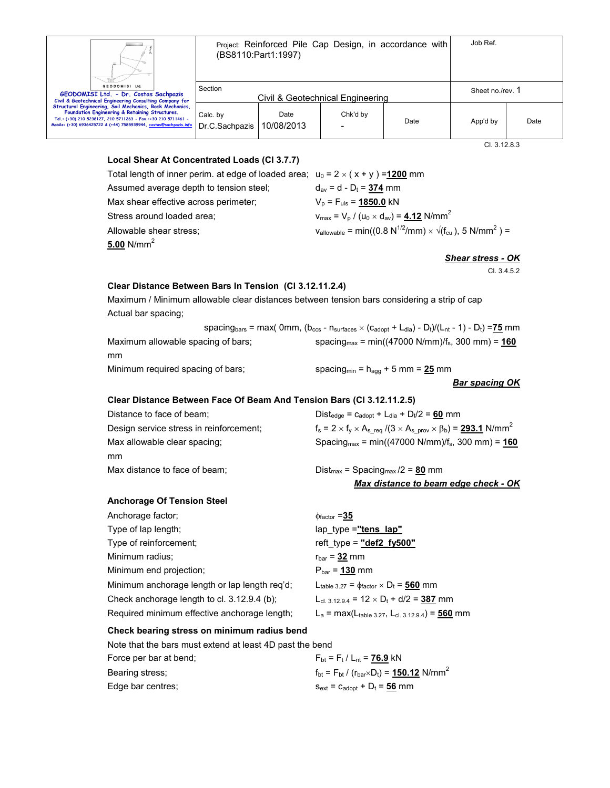

Project: Reinforced Pile Cap Design, in accordance with (BS8110:Part1:1997)

| Ш.                                                                                                                                                                                                                                               |                            |                    |                                  |      |                |      |
|--------------------------------------------------------------------------------------------------------------------------------------------------------------------------------------------------------------------------------------------------|----------------------------|--------------------|----------------------------------|------|----------------|------|
| GEODOMISI Ltd.<br>GEODOMISI Ltd. - Dr. Costas Sachpazis<br>Civil & Geotechnical Engineering Consulting Company for                                                                                                                               | Section                    |                    | Civil & Geotechnical Engineering |      | Sheet no./rev. |      |
| Structural Engineering, Soil Mechanics, Rock Mechanics,<br>Foundation Engineering & Retaining Structures.<br>Tel.: (+30) 210 5238127, 210 5711263 - Fax.:+30 210 5711461 -<br>Mobile: (+30) 6936425722 & (+44) 7585939944, costas@sachpazis.info | Calc. by<br>Dr.C.Sachpazis | Date<br>10/08/2013 | Chk'd by                         | Date | App'd by       | Date |

Cl. 3.12.8.3

# **Local Shear At Concentrated Loads (Cl 3.7.7)**

| Total length of inner perim. at edge of loaded area; $u_0 = 2 \times (x + y) = 1200$ mm |                                                                                                                         |
|-----------------------------------------------------------------------------------------|-------------------------------------------------------------------------------------------------------------------------|
| Assumed average depth to tension steel;                                                 | $d_{av}$ = d - D <sub>t</sub> = <b>374</b> mm                                                                           |
| Max shear effective across perimeter;                                                   | $V_p = F_{uls} = 1850.0$ kN                                                                                             |
| Stress around loaded area;                                                              | $v_{\text{max}} = V_{\text{p}} / (u_0 \times d_{\text{av}}) = 4.12 \text{ N/mm}^2$                                      |
| Allowable shear stress;                                                                 | $v_{\text{allowable}} = \min((0.8 \text{ N}^{1/2}/\text{mm}) \times \sqrt{(f_{\text{cu}})}, 5 \text{ N}/\text{mm}^2) =$ |
| 5.00 N/mm $^2\,$                                                                        |                                                                                                                         |

*Shear stress - OK*

Cl. 3.4.5.2

# **Clear Distance Between Bars In Tension (Cl 3.12.11.2.4)**

Maximum / Minimum allowable clear distances between tension bars considering a strip of cap Actual bar spacing;

|                                    | spacing <sub>bars</sub> = max( 0mm, ( $b_{\text{ccs}}$ - n <sub>surfaces</sub> $\times$ (C <sub>adopt</sub> + L <sub>dia</sub> ) - D <sub>t</sub> )/(L <sub>nt</sub> - 1) - D <sub>t</sub> ) = 75 mm |
|------------------------------------|------------------------------------------------------------------------------------------------------------------------------------------------------------------------------------------------------|
| Maximum allowable spacing of bars: | spacing <sub>max</sub> = min((47000 N/mm)/f <sub>s</sub> , 300 mm) = $160$                                                                                                                           |
| mm                                 |                                                                                                                                                                                                      |
| Minimum required spacing of bars;  | spacing <sub>min</sub> = $h_{\text{aog}}$ + 5 mm = 25 mm                                                                                                                                             |

## *Bar spacing OK*

## **Clear Distance Between Face Of Beam And Tension Bars (Cl 3.12.11.2.5)**

| Distance to face of beam;               | $Dist_{\text{edge}} = c_{\text{adopt}} + L_{\text{dia}} + D_t/2 = 60$ mm                                            |
|-----------------------------------------|---------------------------------------------------------------------------------------------------------------------|
| Design service stress in reinforcement; | $f_s = 2 \times f_v \times A_{s \text{ req}} / (3 \times A_{s \text{ prov}} \times \beta_b) = 293.1 \text{ N/mm}^2$ |
| Max allowable clear spacing;            | Spacing <sub>max</sub> = min((47000 N/mm)/ $f_s$ , 300 mm) = <b>160</b>                                             |
| mm                                      |                                                                                                                     |
| Max distance to face of beam;           | $Dist_{max}$ = Spacing <sub>max</sub> /2 = <b>80</b> mm                                                             |
|                                         | Max distance to beam edge check - OK                                                                                |

## **Anchorage Of Tension Steel**

| Anchorage factor;                             | $\phi$ <sub>factor</sub> = 35                                       |
|-----------------------------------------------|---------------------------------------------------------------------|
| Type of lap length;                           | lap type ="tens lap"                                                |
| Type of reinforcement;                        | reft_type = $"def2 fy500"$                                          |
| Minimum radius;                               | $r_{bar}$ = 32 mm                                                   |
| Minimum end projection;                       | $P_{bar}$ = 130 mm                                                  |
| Minimum anchorage length or lap length req'd; | Ltable 3.27 = $\phi$ factor $\times$ D <sub>t</sub> = <b>560</b> mm |
| Check anchorage length to cl. 3.12.9.4 (b);   | $L_{cl. 3.12.9.4}$ = 12 $\times$ D <sub>t</sub> + d/2 = 387 mm      |
| Required minimum effective anchorage length;  | $L_a = max(L_{table 3.27}, L_{cl. 3.12.9.4}) = 560$ mm              |
|                                               |                                                                     |

## **Check bearing stress on minimum radius bend**

Note that the bars must extend at least 4D past the bend

| Force per bar at bend: | $F_{\text{bt}} = F_{\text{t}} / L_{\text{nt}} = 76.9 \text{ kN}$                      |
|------------------------|---------------------------------------------------------------------------------------|
| Bearing stress:        | $f_{\text{bt}} = F_{\text{bt}} / (r_{\text{bar}} \times D_t) = 150.12 \text{ N/mm}^2$ |
| Edge bar centres:      | $S_{ext}$ = $C_{adoot}$ + $D_t$ = 56 mm                                               |